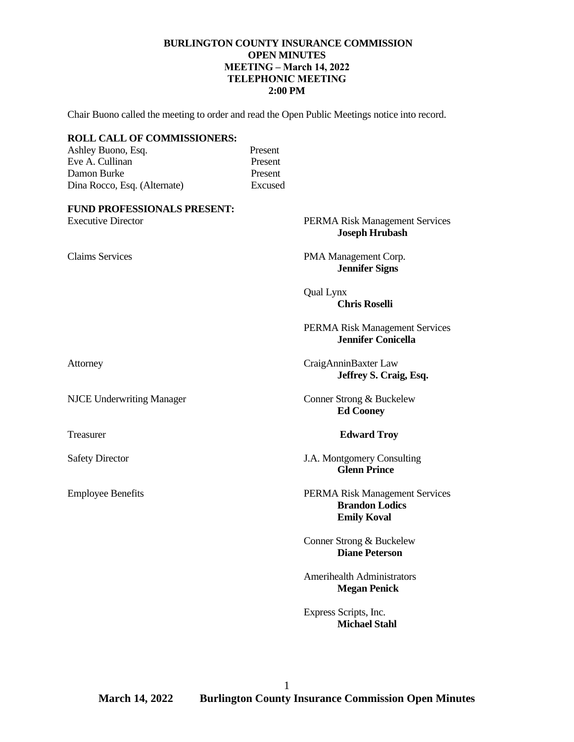#### **BURLINGTON COUNTY INSURANCE COMMISSION OPEN MINUTES MEETING – March 14, 2022 TELEPHONIC MEETING 2:00 PM**

Chair Buono called the meeting to order and read the Open Public Meetings notice into record.

| <b>ROLL CALL OF COMMISSIONERS:</b><br>Ashley Buono, Esq.<br>Eve A. Cullinan<br>Damon Burke<br>Dina Rocco, Esq. (Alternate) | Present<br>Present<br>Present<br>Excused |                                                                               |
|----------------------------------------------------------------------------------------------------------------------------|------------------------------------------|-------------------------------------------------------------------------------|
| <b>FUND PROFESSIONALS PRESENT:</b><br><b>Executive Director</b>                                                            |                                          | PERMA Risk Management Services<br><b>Joseph Hrubash</b>                       |
| <b>Claims Services</b>                                                                                                     |                                          | PMA Management Corp.<br><b>Jennifer Signs</b>                                 |
|                                                                                                                            |                                          | <b>Qual Lynx</b><br><b>Chris Roselli</b>                                      |
|                                                                                                                            |                                          | PERMA Risk Management Services<br><b>Jennifer Conicella</b>                   |
| Attorney                                                                                                                   |                                          | CraigAnninBaxter Law<br>Jeffrey S. Craig, Esq.                                |
| <b>NJCE Underwriting Manager</b>                                                                                           |                                          | Conner Strong & Buckelew<br><b>Ed Cooney</b>                                  |
| Treasurer                                                                                                                  |                                          | <b>Edward Troy</b>                                                            |
| <b>Safety Director</b>                                                                                                     |                                          | J.A. Montgomery Consulting<br><b>Glenn Prince</b>                             |
| <b>Employee Benefits</b>                                                                                                   |                                          | PERMA Risk Management Services<br><b>Brandon Lodics</b><br><b>Emily Koval</b> |
|                                                                                                                            |                                          | Conner Strong & Buckelew<br><b>Diane Peterson</b>                             |
|                                                                                                                            |                                          | <b>Amerihealth Administrators</b><br><b>Megan Penick</b>                      |
|                                                                                                                            |                                          | Express Scripts, Inc.<br><b>Michael Stahl</b>                                 |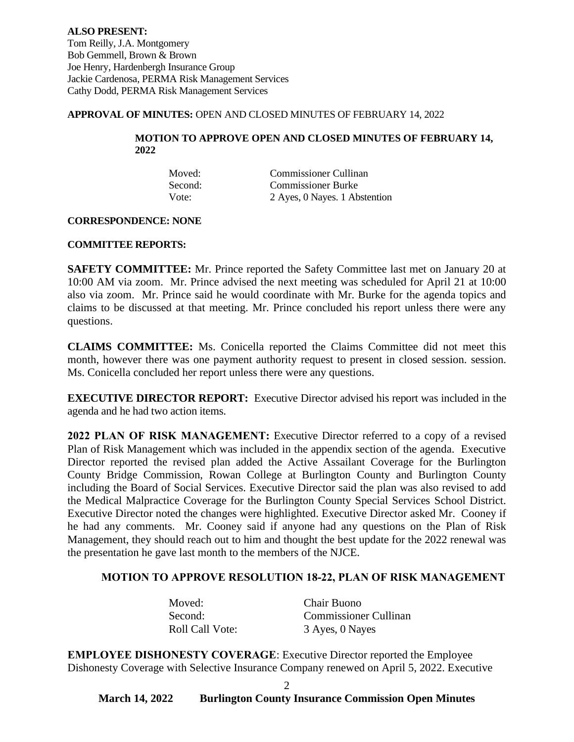**ALSO PRESENT:** Tom Reilly, J.A. Montgomery Bob Gemmell, Brown & Brown Joe Henry, Hardenbergh Insurance Group Jackie Cardenosa, PERMA Risk Management Services Cathy Dodd, PERMA Risk Management Services

#### **APPROVAL OF MINUTES:** OPEN AND CLOSED MINUTES OF FEBRUARY 14, 2022

#### **MOTION TO APPROVE OPEN AND CLOSED MINUTES OF FEBRUARY 14, 2022**

| Moved:  | Commissioner Cullinan         |
|---------|-------------------------------|
| Second: | <b>Commissioner Burke</b>     |
| Vote:   | 2 Ayes, 0 Nayes. 1 Abstention |

#### **CORRESPONDENCE: NONE**

#### **COMMITTEE REPORTS:**

**SAFETY COMMITTEE:** Mr. Prince reported the Safety Committee last met on January 20 at 10:00 AM via zoom. Mr. Prince advised the next meeting was scheduled for April 21 at 10:00 also via zoom. Mr. Prince said he would coordinate with Mr. Burke for the agenda topics and claims to be discussed at that meeting. Mr. Prince concluded his report unless there were any questions.

**CLAIMS COMMITTEE:** Ms. Conicella reported the Claims Committee did not meet this month, however there was one payment authority request to present in closed session. session. Ms. Conicella concluded her report unless there were any questions.

**EXECUTIVE DIRECTOR REPORT:** Executive Director advised his report was included in the agenda and he had two action items.

**2022 PLAN OF RISK MANAGEMENT:** Executive Director referred to a copy of a revised Plan of Risk Management which was included in the appendix section of the agenda. Executive Director reported the revised plan added the Active Assailant Coverage for the Burlington County Bridge Commission, Rowan College at Burlington County and Burlington County including the Board of Social Services. Executive Director said the plan was also revised to add the Medical Malpractice Coverage for the Burlington County Special Services School District. Executive Director noted the changes were highlighted. Executive Director asked Mr. Cooney if he had any comments. Mr. Cooney said if anyone had any questions on the Plan of Risk Management, they should reach out to him and thought the best update for the 2022 renewal was the presentation he gave last month to the members of the NJCE.

#### **MOTION TO APPROVE RESOLUTION 18-22, PLAN OF RISK MANAGEMENT**

| Moved:                 | Chair Buono                  |
|------------------------|------------------------------|
| Second:                | <b>Commissioner Cullinan</b> |
| <b>Roll Call Vote:</b> | 3 Ayes, 0 Nayes              |

**EMPLOYEE DISHONESTY COVERAGE**: Executive Director reported the Employee Dishonesty Coverage with Selective Insurance Company renewed on April 5, 2022. Executive

2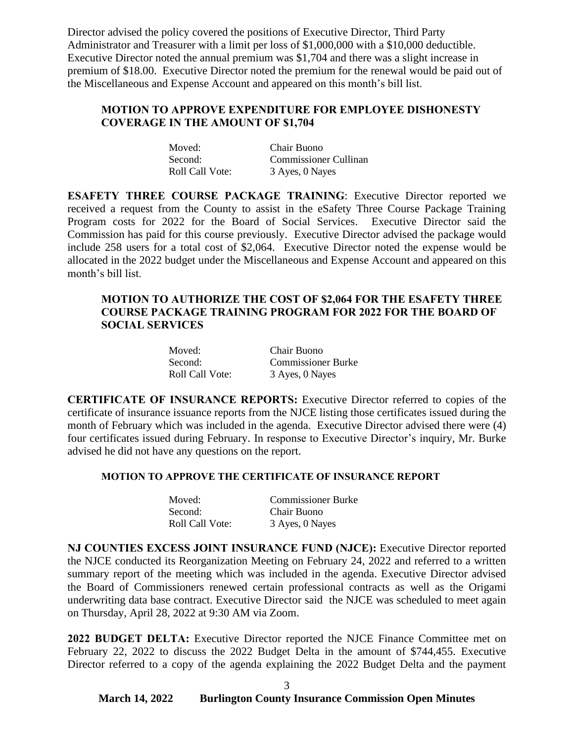Director advised the policy covered the positions of Executive Director, Third Party Administrator and Treasurer with a limit per loss of \$1,000,000 with a \$10,000 deductible. Executive Director noted the annual premium was \$1,704 and there was a slight increase in premium of \$18.00. Executive Director noted the premium for the renewal would be paid out of the Miscellaneous and Expense Account and appeared on this month's bill list.

### **MOTION TO APPROVE EXPENDITURE FOR EMPLOYEE DISHONESTY COVERAGE IN THE AMOUNT OF \$1,704**

| Moved:          | Chair Buono                  |
|-----------------|------------------------------|
| Second:         | <b>Commissioner Cullinan</b> |
| Roll Call Vote: | 3 Ayes, 0 Nayes              |

**ESAFETY THREE COURSE PACKAGE TRAINING**: Executive Director reported we received a request from the County to assist in the eSafety Three Course Package Training Program costs for 2022 for the Board of Social Services. Executive Director said the Commission has paid for this course previously. Executive Director advised the package would include 258 users for a total cost of \$2,064. Executive Director noted the expense would be allocated in the 2022 budget under the Miscellaneous and Expense Account and appeared on this month's bill list.

### **MOTION TO AUTHORIZE THE COST OF \$2,064 FOR THE ESAFETY THREE COURSE PACKAGE TRAINING PROGRAM FOR 2022 FOR THE BOARD OF SOCIAL SERVICES**

| Moved:          | Chair Buono               |
|-----------------|---------------------------|
| Second:         | <b>Commissioner Burke</b> |
| Roll Call Vote: | 3 Ayes, 0 Nayes           |

**CERTIFICATE OF INSURANCE REPORTS:** Executive Director referred to copies of the certificate of insurance issuance reports from the NJCE listing those certificates issued during the month of February which was included in the agenda. Executive Director advised there were (4) four certificates issued during February. In response to Executive Director's inquiry, Mr. Burke advised he did not have any questions on the report.

#### **MOTION TO APPROVE THE CERTIFICATE OF INSURANCE REPORT**

| Moved:          | <b>Commissioner Burke</b> |
|-----------------|---------------------------|
| Second:         | Chair Buono               |
| Roll Call Vote: | 3 Ayes, 0 Nayes           |

**NJ COUNTIES EXCESS JOINT INSURANCE FUND (NJCE):** Executive Director reported the NJCE conducted its Reorganization Meeting on February 24, 2022 and referred to a written summary report of the meeting which was included in the agenda. Executive Director advised the Board of Commissioners renewed certain professional contracts as well as the Origami underwriting data base contract. Executive Director said the NJCE was scheduled to meet again on Thursday, April 28, 2022 at 9:30 AM via Zoom.

**2022 BUDGET DELTA:** Executive Director reported the NJCE Finance Committee met on February 22, 2022 to discuss the 2022 Budget Delta in the amount of \$744,455. Executive Director referred to a copy of the agenda explaining the 2022 Budget Delta and the payment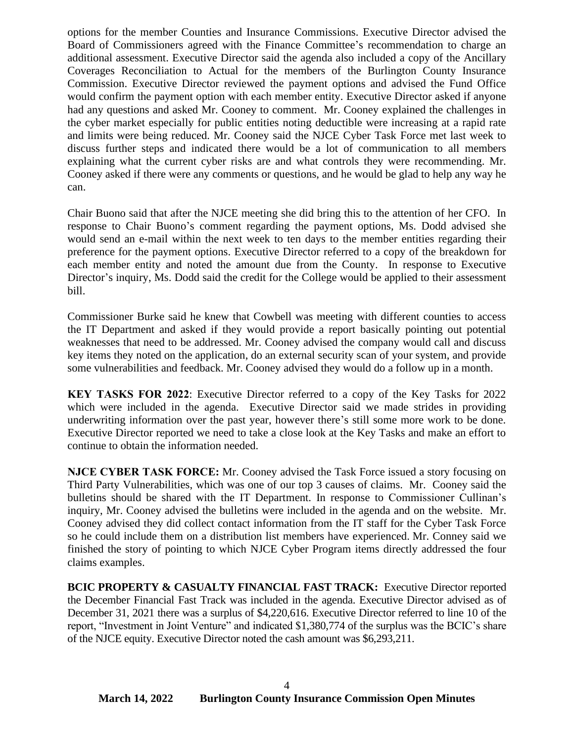options for the member Counties and Insurance Commissions. Executive Director advised the Board of Commissioners agreed with the Finance Committee's recommendation to charge an additional assessment. Executive Director said the agenda also included a copy of the Ancillary Coverages Reconciliation to Actual for the members of the Burlington County Insurance Commission. Executive Director reviewed the payment options and advised the Fund Office would confirm the payment option with each member entity. Executive Director asked if anyone had any questions and asked Mr. Cooney to comment. Mr. Cooney explained the challenges in the cyber market especially for public entities noting deductible were increasing at a rapid rate and limits were being reduced. Mr. Cooney said the NJCE Cyber Task Force met last week to discuss further steps and indicated there would be a lot of communication to all members explaining what the current cyber risks are and what controls they were recommending. Mr. Cooney asked if there were any comments or questions, and he would be glad to help any way he can.

Chair Buono said that after the NJCE meeting she did bring this to the attention of her CFO. In response to Chair Buono's comment regarding the payment options, Ms. Dodd advised she would send an e-mail within the next week to ten days to the member entities regarding their preference for the payment options. Executive Director referred to a copy of the breakdown for each member entity and noted the amount due from the County. In response to Executive Director's inquiry, Ms. Dodd said the credit for the College would be applied to their assessment bill.

Commissioner Burke said he knew that Cowbell was meeting with different counties to access the IT Department and asked if they would provide a report basically pointing out potential weaknesses that need to be addressed. Mr. Cooney advised the company would call and discuss key items they noted on the application, do an external security scan of your system, and provide some vulnerabilities and feedback. Mr. Cooney advised they would do a follow up in a month.

**KEY TASKS FOR 2022**: Executive Director referred to a copy of the Key Tasks for 2022 which were included in the agenda. Executive Director said we made strides in providing underwriting information over the past year, however there's still some more work to be done. Executive Director reported we need to take a close look at the Key Tasks and make an effort to continue to obtain the information needed.

**NJCE CYBER TASK FORCE:** Mr. Cooney advised the Task Force issued a story focusing on Third Party Vulnerabilities, which was one of our top 3 causes of claims. Mr. Cooney said the bulletins should be shared with the IT Department. In response to Commissioner Cullinan's inquiry, Mr. Cooney advised the bulletins were included in the agenda and on the website. Mr. Cooney advised they did collect contact information from the IT staff for the Cyber Task Force so he could include them on a distribution list members have experienced. Mr. Conney said we finished the story of pointing to which NJCE Cyber Program items directly addressed the four claims examples.

**BCIC PROPERTY & CASUALTY FINANCIAL FAST TRACK:** Executive Director reported the December Financial Fast Track was included in the agenda. Executive Director advised as of December 31, 2021 there was a surplus of \$4,220,616. Executive Director referred to line 10 of the report, "Investment in Joint Venture" and indicated \$1,380,774 of the surplus was the BCIC's share of the NJCE equity. Executive Director noted the cash amount was \$6,293,211.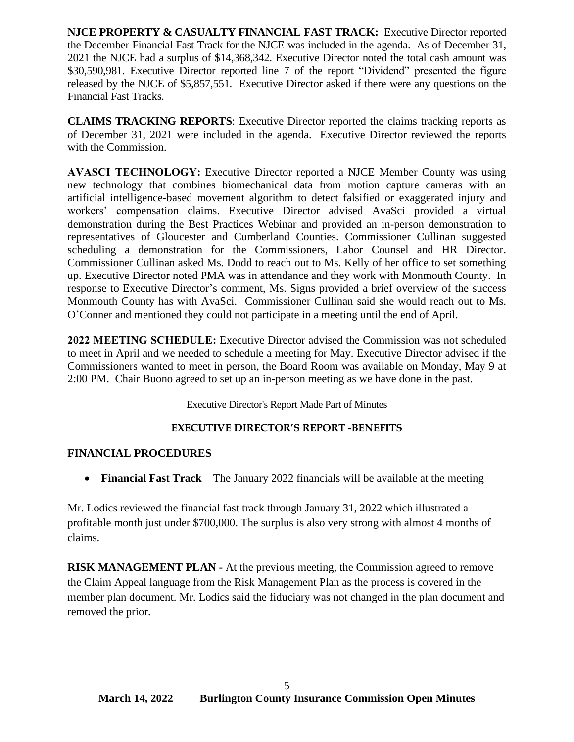**NJCE PROPERTY & CASUALTY FINANCIAL FAST TRACK:** Executive Director reported the December Financial Fast Track for the NJCE was included in the agenda. As of December 31, 2021 the NJCE had a surplus of \$14,368,342. Executive Director noted the total cash amount was \$30,590,981. Executive Director reported line 7 of the report "Dividend" presented the figure released by the NJCE of \$5,857,551. Executive Director asked if there were any questions on the Financial Fast Tracks.

**CLAIMS TRACKING REPORTS**: Executive Director reported the claims tracking reports as of December 31, 2021 were included in the agenda. Executive Director reviewed the reports with the Commission.

**AVASCI TECHNOLOGY:** Executive Director reported a NJCE Member County was using new technology that combines biomechanical data from motion capture cameras with an artificial intelligence-based movement algorithm to detect falsified or exaggerated injury and workers' compensation claims. Executive Director advised AvaSci provided a virtual demonstration during the Best Practices Webinar and provided an in-person demonstration to representatives of Gloucester and Cumberland Counties. Commissioner Cullinan suggested scheduling a demonstration for the Commissioners, Labor Counsel and HR Director. Commissioner Cullinan asked Ms. Dodd to reach out to Ms. Kelly of her office to set something up. Executive Director noted PMA was in attendance and they work with Monmouth County. In response to Executive Director's comment, Ms. Signs provided a brief overview of the success Monmouth County has with AvaSci. Commissioner Cullinan said she would reach out to Ms. O'Conner and mentioned they could not participate in a meeting until the end of April.

**2022 MEETING SCHEDULE:** Executive Director advised the Commission was not scheduled to meet in April and we needed to schedule a meeting for May. Executive Director advised if the Commissioners wanted to meet in person, the Board Room was available on Monday, May 9 at 2:00 PM. Chair Buono agreed to set up an in-person meeting as we have done in the past.

### Executive Director's Report Made Part of Minutes

### **EXECUTIVE DIRECTOR'S REPORT -BENEFITS**

### **FINANCIAL PROCEDURES**

• **Financial Fast Track** – The January 2022 financials will be available at the meeting

Mr. Lodics reviewed the financial fast track through January 31, 2022 which illustrated a profitable month just under \$700,000. The surplus is also very strong with almost 4 months of claims.

**RISK MANAGEMENT PLAN -** At the previous meeting, the Commission agreed to remove the Claim Appeal language from the Risk Management Plan as the process is covered in the member plan document. Mr. Lodics said the fiduciary was not changed in the plan document and removed the prior.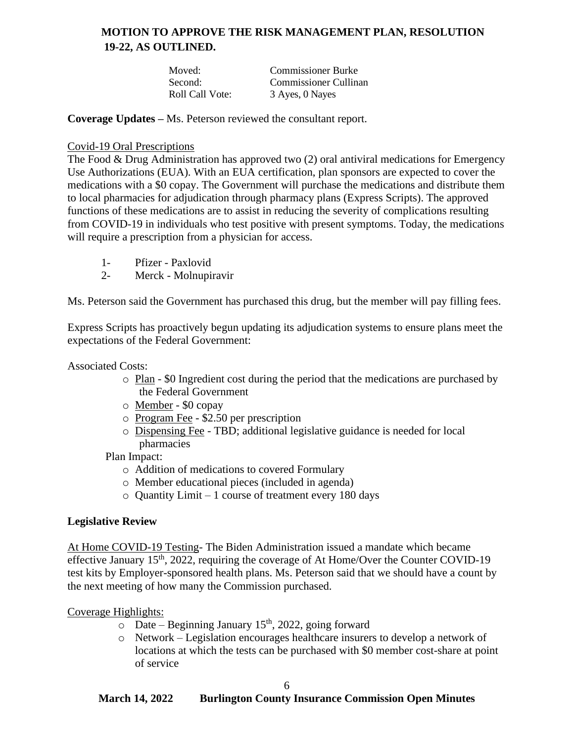## **MOTION TO APPROVE THE RISK MANAGEMENT PLAN, RESOLUTION 19-22, AS OUTLINED.**

| Moved:          | <b>Commissioner Burke</b> |
|-----------------|---------------------------|
| Second:         | Commissioner Cullinan     |
| Roll Call Vote: | 3 Ayes, 0 Nayes           |

**Coverage Updates –** Ms. Peterson reviewed the consultant report.

### Covid-19 Oral Prescriptions

The Food & Drug Administration has approved two (2) oral antiviral medications for Emergency Use Authorizations (EUA). With an EUA certification, plan sponsors are expected to cover the medications with a \$0 copay. The Government will purchase the medications and distribute them to local pharmacies for adjudication through pharmacy plans (Express Scripts). The approved functions of these medications are to assist in reducing the severity of complications resulting from COVID-19 in individuals who test positive with present symptoms. Today, the medications will require a prescription from a physician for access.

- 1- Pfizer Paxlovid
- 2- Merck Molnupiravir

Ms. Peterson said the Government has purchased this drug, but the member will pay filling fees.

Express Scripts has proactively begun updating its adjudication systems to ensure plans meet the expectations of the Federal Government:

Associated Costs:

- o Plan \$0 Ingredient cost during the period that the medications are purchased by the Federal Government
- o Member \$0 copay
- o Program Fee \$2.50 per prescription
- o Dispensing Fee TBD; additional legislative guidance is needed for local pharmacies

Plan Impact:

- o Addition of medications to covered Formulary
- o Member educational pieces (included in agenda)
- $\circ$  Quantity Limit 1 course of treatment every 180 days

### **Legislative Review**

At Home COVID-19 Testing- The Biden Administration issued a mandate which became effective January  $15<sup>th</sup>$ , 2022, requiring the coverage of At Home/Over the Counter COVID-19 test kits by Employer-sponsored health plans. Ms. Peterson said that we should have a count by the next meeting of how many the Commission purchased.

#### Coverage Highlights:

- $\circ$  Date Beginning January 15<sup>th</sup>, 2022, going forward
- o Network Legislation encourages healthcare insurers to develop a network of locations at which the tests can be purchased with \$0 member cost-share at point of service

#### 6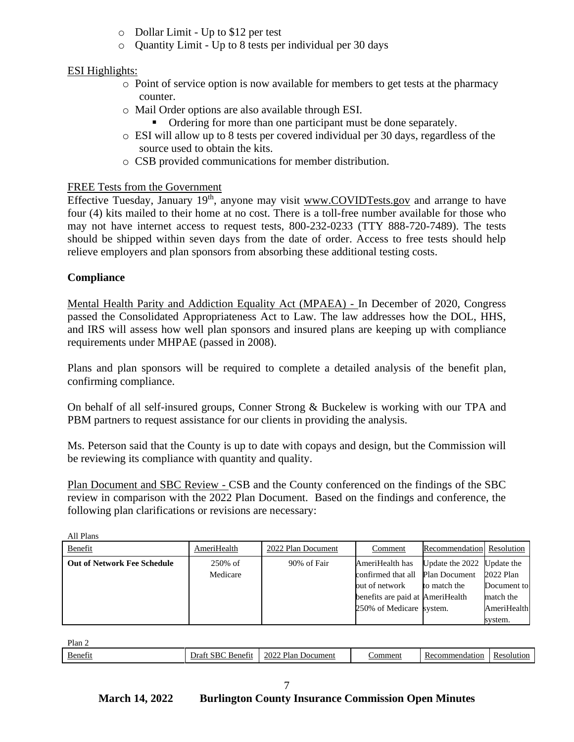- o Dollar Limit Up to \$12 per test
- o Quantity Limit Up to 8 tests per individual per 30 days

### ESI Highlights:

- $\circ$  Point of service option is now available for members to get tests at the pharmacy counter.
- o Mail Order options are also available through ESI.
	- Ordering for more than one participant must be done separately.
- o ESI will allow up to 8 tests per covered individual per 30 days, regardless of the source used to obtain the kits.
- o CSB provided communications for member distribution.

### FREE Tests from the Government

Effective Tuesday, January  $19<sup>th</sup>$ , anyone may visit www.COVIDTests.gov and arrange to have four (4) kits mailed to their home at no cost. There is a toll-free number available for those who may not have internet access to request tests, 800-232-0233 (TTY 888-720-7489). The tests should be shipped within seven days from the date of order. Access to free tests should help relieve employers and plan sponsors from absorbing these additional testing costs.

### **Compliance**

Mental Health Parity and Addiction Equality Act (MPAEA) - In December of 2020, Congress passed the Consolidated Appropriateness Act to Law. The law addresses how the DOL, HHS, and IRS will assess how well plan sponsors and insured plans are keeping up with compliance requirements under MHPAE (passed in 2008).

Plans and plan sponsors will be required to complete a detailed analysis of the benefit plan, confirming compliance.

On behalf of all self-insured groups, Conner Strong & Buckelew is working with our TPA and PBM partners to request assistance for our clients in providing the analysis.

Ms. Peterson said that the County is up to date with copays and design, but the Commission will be reviewing its compliance with quantity and quality.

Plan Document and SBC Review - CSB and the County conferenced on the findings of the SBC review in comparison with the 2022 Plan Document. Based on the findings and conference, the following plan clarifications or revisions are necessary:

| All Plans                          |             |                    |                                  |                            |             |
|------------------------------------|-------------|--------------------|----------------------------------|----------------------------|-------------|
| Benefit                            | AmeriHealth | 2022 Plan Document | Comment                          | Recommendation Resolution  |             |
| <b>Out of Network Fee Schedule</b> | 250% of     | 90% of Fair        | AmeriHealth has                  | Update the 2022 Update the |             |
|                                    | Medicare    |                    | confirmed that all Plan Document |                            | 2022 Plan   |
|                                    |             |                    | out of network                   | to match the               | Document to |
|                                    |             |                    | benefits are paid at AmeriHealth |                            | match the   |
|                                    |             |                    | 250% of Medicare system.         |                            | AmeriHealth |
|                                    |             |                    |                                  |                            | system.     |

Plan 2

All Plans

| Benefi | -<br>.5BC<br>)ra<br>. Senet * | Plan<br>$\sim$ 2002<br>. Document | .ommen | nendation<br>⊥umr<br>. н.<br>N | solu<br>чиот.<br>- K.C |
|--------|-------------------------------|-----------------------------------|--------|--------------------------------|------------------------|
|        |                               | $-0/$                             |        |                                |                        |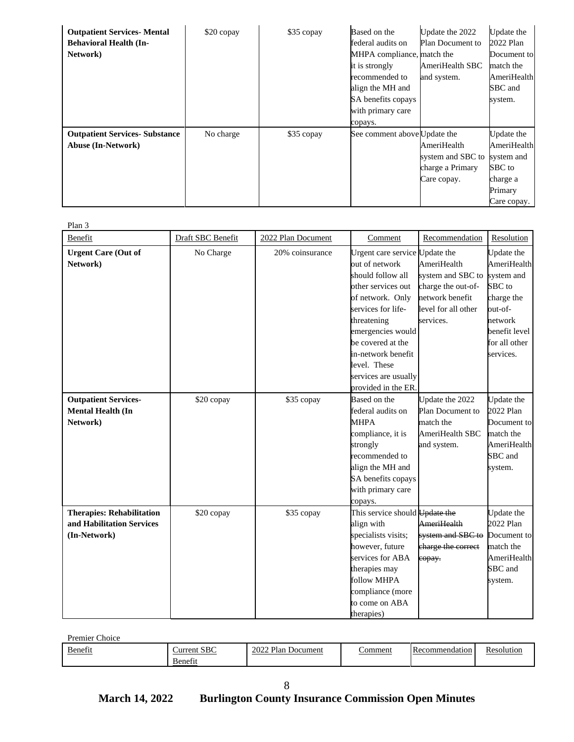| <b>Outpatient Services- Mental</b><br><b>Behavioral Health (In-</b><br>Network) | \$20 copay | \$35 copay | Based on the<br>federal audits on<br>MHPA compliance, match the<br>it is strongly<br>recommended to<br>align the MH and<br>SA benefits copays<br>with primary care<br>copays. | Update the 2022<br><b>Plan Document to</b><br>AmeriHealth SBC<br>and system. | Update the<br>2022 Plan<br>Document to<br>match the<br>AmeriHealth<br>SBC and<br>system. |
|---------------------------------------------------------------------------------|------------|------------|-------------------------------------------------------------------------------------------------------------------------------------------------------------------------------|------------------------------------------------------------------------------|------------------------------------------------------------------------------------------|
| <b>Outpatient Services- Substance</b><br><b>Abuse (In-Network)</b>              | No charge  | \$35 copay | See comment above Update the                                                                                                                                                  | AmeriHealth<br>system and SBC to<br>charge a Primary<br>Care copay.          | Update the<br>AmeriHealth<br>system and<br>SBC to<br>charge a<br>Primary<br>Care copay.  |

Plan 3

| т кан э<br>Benefit                                                            | Draft SBC Benefit | 2022 Plan Document | Comment                                                                                                                                                                                                                                                      | Recommendation                                                                                                | Resolution                                                                                                                           |
|-------------------------------------------------------------------------------|-------------------|--------------------|--------------------------------------------------------------------------------------------------------------------------------------------------------------------------------------------------------------------------------------------------------------|---------------------------------------------------------------------------------------------------------------|--------------------------------------------------------------------------------------------------------------------------------------|
| <b>Urgent Care (Out of</b><br>Network)                                        | No Charge         | 20% coinsurance    | Urgent care service Update the<br>out of network<br>should follow all<br>other services out<br>of network. Only<br>services for life-<br>threatening<br>emergencies would<br>be covered at the<br>in-network benefit<br>level. These<br>services are usually | AmeriHealth<br>system and SBC to<br>charge the out-of-<br>network benefit<br>level for all other<br>services. | Update the<br>AmeriHealth<br>system and<br>SBC to<br>charge the<br>out-of-<br>network<br>benefit level<br>for all other<br>services. |
| <b>Outpatient Services-</b><br><b>Mental Health (In</b><br>Network)           | \$20 copay        | \$35 copay         | provided in the ER.<br>Based on the<br>federal audits on<br><b>MHPA</b><br>compliance, it is<br>strongly<br>recommended to<br>align the MH and<br>SA benefits copays<br>with primary care<br>copays.                                                         | Update the 2022<br>Plan Document to<br>match the<br>AmeriHealth SBC<br>and system.                            | Update the<br>2022 Plan<br>Document to<br>match the<br>AmeriHealth<br>SBC and<br>system.                                             |
| <b>Therapies: Rehabilitation</b><br>and Habilitation Services<br>(In-Network) | \$20 copay        | \$35 copay         | This service should Update the<br>align with<br>specialists visits;<br>however, future<br>services for ABA<br>therapies may<br>follow MHPA<br>compliance (more<br>to come on ABA<br>therapies)                                                               | <b>AmeriHealth</b><br>system and SBC to<br>charge the correct<br>copay.                                       | Update the<br>2022 Plan<br>Document to<br>match the<br>AmeriHealth<br>SBC and<br>system.                                             |

Premier Choice

| Benefit<br>$\sim$ $\sim$ $\sim$ $\sim$ $\sim$ | CDC<br>Aurrent<br>.313C | Plan<br>2022<br>Document | ∶omment | <b>I</b> Recommendation | Resolution |
|-----------------------------------------------|-------------------------|--------------------------|---------|-------------------------|------------|
|                                               | Benefit                 |                          |         |                         |            |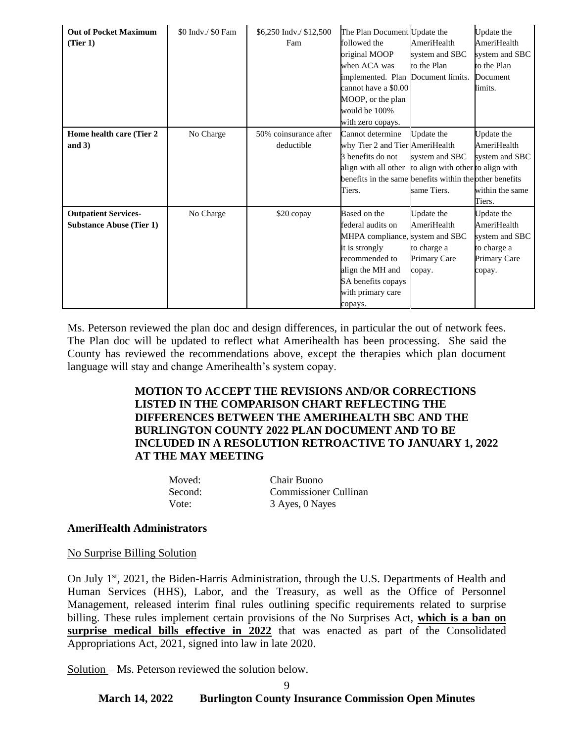| <b>Out of Pocket Maximum</b><br>(Tier 1)                       | \$0 Indv./ \$0 Fam | \$6,250 Indv./ \$12,500<br>Fam      | The Plan Document Update the<br>followed the<br>original MOOP<br>when ACA was<br>implemented. Plan Document limits.<br>cannot have a \$0.00<br>MOOP, or the plan<br>would be 100%<br>with zero copays. | AmeriHealth<br>system and SBC<br>to the Plan                                     | Update the<br>AmeriHealth<br>system and SBC<br>to the Plan<br>Document<br>limits.    |
|----------------------------------------------------------------|--------------------|-------------------------------------|--------------------------------------------------------------------------------------------------------------------------------------------------------------------------------------------------------|----------------------------------------------------------------------------------|--------------------------------------------------------------------------------------|
| Home health care (Tier 2<br>and $3)$                           | No Charge          | 50% coinsurance after<br>deductible | Cannot determine<br>why Tier 2 and Tier AmeriHealth<br>3 benefits do not<br>align with all other<br>benefits in the same benefits within the other benefits<br>Tiers.                                  | Update the<br>system and SBC<br>to align with other to align with<br>same Tiers. | Update the<br>AmeriHealth<br>system and SBC<br>within the same<br>Tiers.             |
| <b>Outpatient Services-</b><br><b>Substance Abuse (Tier 1)</b> | No Charge          | \$20 copay                          | Based on the<br>federal audits on<br>MHPA compliance, system and SBC<br>it is strongly<br>recommended to<br>align the MH and<br>SA benefits copays<br>with primary care<br>copays.                     | Update the<br>AmeriHealth<br>to charge a<br>Primary Care<br>copay.               | Update the<br>AmeriHealth<br>system and SBC<br>to charge a<br>Primary Care<br>copay. |

Ms. Peterson reviewed the plan doc and design differences, in particular the out of network fees. The Plan doc will be updated to reflect what Amerihealth has been processing. She said the County has reviewed the recommendations above, except the therapies which plan document language will stay and change Amerihealth's system copay.

### **MOTION TO ACCEPT THE REVISIONS AND/OR CORRECTIONS LISTED IN THE COMPARISON CHART REFLECTING THE DIFFERENCES BETWEEN THE AMERIHEALTH SBC AND THE BURLINGTON COUNTY 2022 PLAN DOCUMENT AND TO BE INCLUDED IN A RESOLUTION RETROACTIVE TO JANUARY 1, 2022 AT THE MAY MEETING**

Moved: Chair Buono Vote: 3 Ayes, 0 Nayes

Second: Commissioner Cullinan

#### **AmeriHealth Administrators**

#### No Surprise Billing Solution

On July 1<sup>st</sup>, 2021, the Biden-Harris Administration, through the U.S. Departments of Health and Human Services (HHS), Labor, and the Treasury, as well as the Office of Personnel Management, released interim final rules outlining specific requirements related to surprise billing. These rules implement certain provisions of the No Surprises Act, **which is a ban on surprise medical bills effective in 2022** that was enacted as part of the Consolidated Appropriations Act, 2021, signed into law in late 2020.

Solution – Ms. Peterson reviewed the solution below.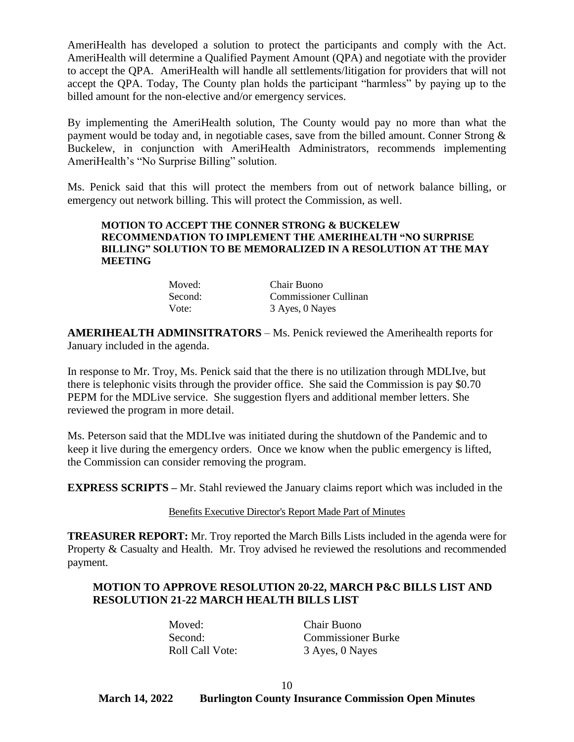AmeriHealth has developed a solution to protect the participants and comply with the Act. AmeriHealth will determine a Qualified Payment Amount (QPA) and negotiate with the provider to accept the QPA. AmeriHealth will handle all settlements/litigation for providers that will not accept the QPA. Today, The County plan holds the participant "harmless" by paying up to the billed amount for the non-elective and/or emergency services.

By implementing the AmeriHealth solution, The County would pay no more than what the payment would be today and, in negotiable cases, save from the billed amount. Conner Strong & Buckelew, in conjunction with AmeriHealth Administrators, recommends implementing AmeriHealth's "No Surprise Billing" solution.

Ms. Penick said that this will protect the members from out of network balance billing, or emergency out network billing. This will protect the Commission, as well.

#### **MOTION TO ACCEPT THE CONNER STRONG & BUCKELEW RECOMMENDATION TO IMPLEMENT THE AMERIHEALTH "NO SURPRISE BILLING" SOLUTION TO BE MEMORALIZED IN A RESOLUTION AT THE MAY MEETING**

| Moved:  | Chair Buono           |
|---------|-----------------------|
| Second: | Commissioner Cullinan |
| Vote:   | 3 Ayes, 0 Nayes       |

**AMERIHEALTH ADMINSITRATORS** – Ms. Penick reviewed the Amerihealth reports for January included in the agenda.

In response to Mr. Troy, Ms. Penick said that the there is no utilization through MDLIve, but there is telephonic visits through the provider office. She said the Commission is pay \$0.70 PEPM for the MDLive service. She suggestion flyers and additional member letters. She reviewed the program in more detail.

Ms. Peterson said that the MDLIve was initiated during the shutdown of the Pandemic and to keep it live during the emergency orders. Once we know when the public emergency is lifted, the Commission can consider removing the program.

**EXPRESS SCRIPTS –** Mr. Stahl reviewed the January claims report which was included in the

Benefits Executive Director's Report Made Part of Minutes

**TREASURER REPORT:** Mr. Troy reported the March Bills Lists included in the agenda were for Property & Casualty and Health. Mr. Troy advised he reviewed the resolutions and recommended payment.

### **MOTION TO APPROVE RESOLUTION 20-22, MARCH P&C BILLS LIST AND RESOLUTION 21-22 MARCH HEALTH BILLS LIST**

Moved: Chair Buono

Second: Commissioner Burke Roll Call Vote: 3 Ayes, 0 Nayes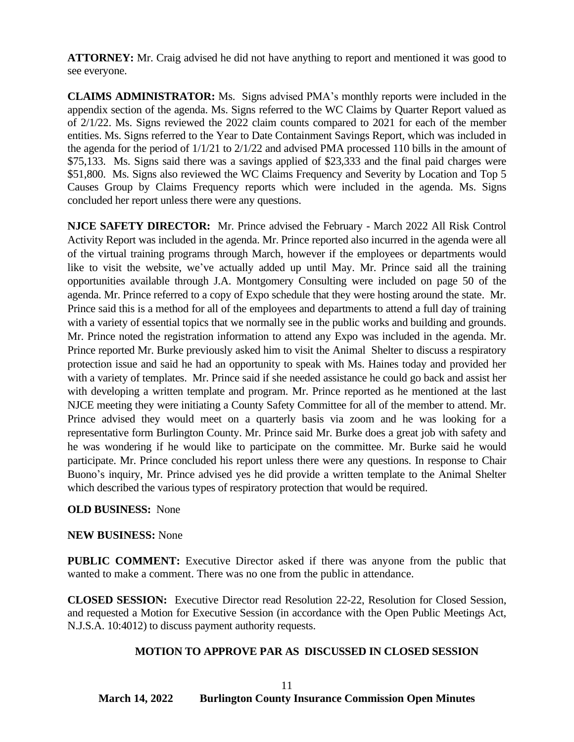**ATTORNEY:** Mr. Craig advised he did not have anything to report and mentioned it was good to see everyone.

**CLAIMS ADMINISTRATOR:** Ms. Signs advised PMA's monthly reports were included in the appendix section of the agenda. Ms. Signs referred to the WC Claims by Quarter Report valued as of 2/1/22. Ms. Signs reviewed the 2022 claim counts compared to 2021 for each of the member entities. Ms. Signs referred to the Year to Date Containment Savings Report, which was included in the agenda for the period of 1/1/21 to 2/1/22 and advised PMA processed 110 bills in the amount of \$75,133. Ms. Signs said there was a savings applied of \$23,333 and the final paid charges were \$51,800. Ms. Signs also reviewed the WC Claims Frequency and Severity by Location and Top 5 Causes Group by Claims Frequency reports which were included in the agenda. Ms. Signs concluded her report unless there were any questions.

**NJCE SAFETY DIRECTOR:** Mr. Prince advised the February - March 2022 All Risk Control Activity Report was included in the agenda. Mr. Prince reported also incurred in the agenda were all of the virtual training programs through March, however if the employees or departments would like to visit the website, we've actually added up until May. Mr. Prince said all the training opportunities available through J.A. Montgomery Consulting were included on page 50 of the agenda. Mr. Prince referred to a copy of Expo schedule that they were hosting around the state. Mr. Prince said this is a method for all of the employees and departments to attend a full day of training with a variety of essential topics that we normally see in the public works and building and grounds. Mr. Prince noted the registration information to attend any Expo was included in the agenda. Mr. Prince reported Mr. Burke previously asked him to visit the Animal Shelter to discuss a respiratory protection issue and said he had an opportunity to speak with Ms. Haines today and provided her with a variety of templates. Mr. Prince said if she needed assistance he could go back and assist her with developing a written template and program. Mr. Prince reported as he mentioned at the last NJCE meeting they were initiating a County Safety Committee for all of the member to attend. Mr. Prince advised they would meet on a quarterly basis via zoom and he was looking for a representative form Burlington County. Mr. Prince said Mr. Burke does a great job with safety and he was wondering if he would like to participate on the committee. Mr. Burke said he would participate. Mr. Prince concluded his report unless there were any questions. In response to Chair Buono's inquiry, Mr. Prince advised yes he did provide a written template to the Animal Shelter which described the various types of respiratory protection that would be required.

#### **OLD BUSINESS:** None

#### **NEW BUSINESS:** None

**PUBLIC COMMENT:** Executive Director asked if there was anyone from the public that wanted to make a comment. There was no one from the public in attendance.

**CLOSED SESSION:** Executive Director read Resolution 22-22, Resolution for Closed Session, and requested a Motion for Executive Session (in accordance with the Open Public Meetings Act, N.J.S.A. 10:4012) to discuss payment authority requests.

### **MOTION TO APPROVE PAR AS DISCUSSED IN CLOSED SESSION**